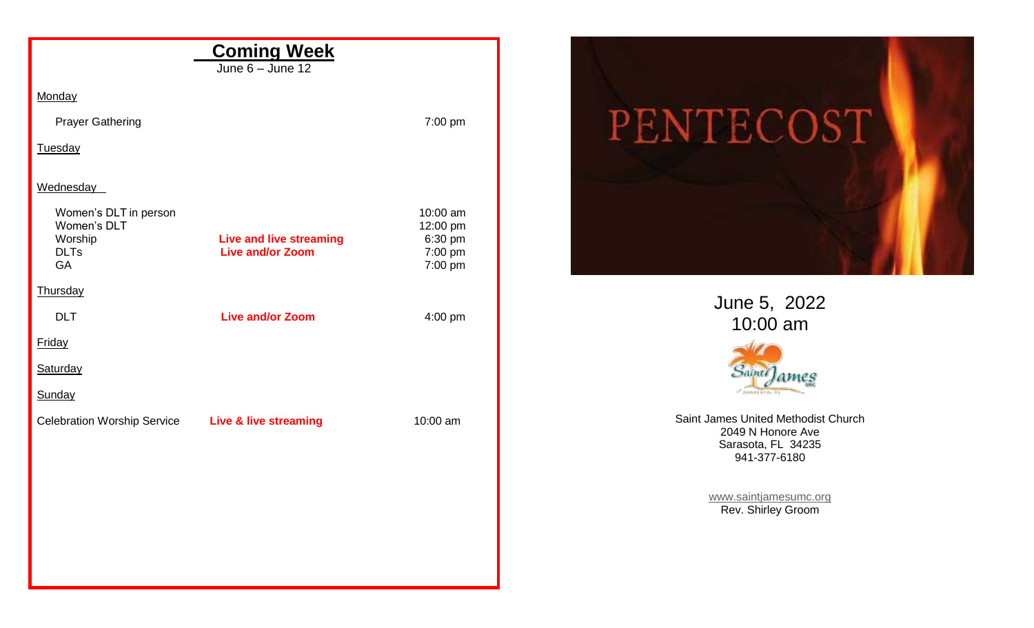| <b>Coming Week</b>                                |                                                           |                    |
|---------------------------------------------------|-----------------------------------------------------------|--------------------|
|                                                   | June $6 -$ June 12                                        |                    |
| Monday                                            |                                                           |                    |
| <b>Prayer Gathering</b>                           |                                                           | 7:00 pm            |
| Tuesday                                           |                                                           |                    |
| Wednesday                                         |                                                           |                    |
| Women's DLT in person                             |                                                           | 10:00 am           |
| Women's DLT                                       |                                                           | 12:00 pm           |
| Worship<br><b>DLTs</b>                            | <b>Live and live streaming</b><br><b>Live and/or Zoom</b> | 6:30 pm            |
| <b>GA</b>                                         |                                                           | 7:00 pm<br>7:00 pm |
| Thursday                                          |                                                           |                    |
| <b>DLT</b>                                        | <b>Live and/or Zoom</b>                                   | 4:00 pm            |
| Friday                                            |                                                           |                    |
| <b>Saturday</b>                                   |                                                           |                    |
| Sunday                                            |                                                           |                    |
| Celebration Worship Service Live & live streaming |                                                           | 10:00 am           |
|                                                   |                                                           |                    |
|                                                   |                                                           |                    |
|                                                   |                                                           |                    |
|                                                   |                                                           |                    |
|                                                   |                                                           |                    |
|                                                   |                                                           |                    |
|                                                   |                                                           |                    |



June 5, 2022 10:00 am



Saint James United Methodist Church 2049 N Honore Ave Sarasota, FL 34235 941-377-6180

> [www.saintjamesumc.org](http://www.saintjamesumc.org/) Rev. Shirley Groom